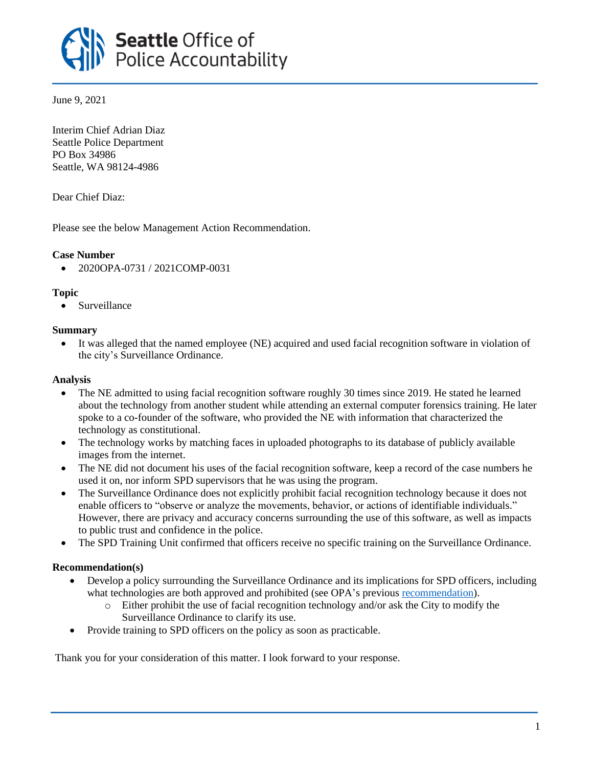

June 9, 2021

Interim Chief Adrian Diaz Seattle Police Department PO Box 34986 Seattle, WA 98124-4986

Dear Chief Diaz:

Please see the below Management Action Recommendation.

# **Case Number**

• 2020OPA-0731 / 2021COMP-0031

# **Topic**

• Surveillance

# **Summary**

• It was alleged that the named employee (NE) acquired and used facial recognition software in violation of the city's Surveillance Ordinance.

## **Analysis**

- The NE admitted to using facial recognition software roughly 30 times since 2019. He stated he learned about the technology from another student while attending an external computer forensics training. He later spoke to a co-founder of the software, who provided the NE with information that characterized the technology as constitutional.
- The technology works by matching faces in uploaded photographs to its database of publicly available images from the internet.
- The NE did not document his uses of the facial recognition software, keep a record of the case numbers he used it on, nor inform SPD supervisors that he was using the program.
- The Surveillance Ordinance does not explicitly prohibit facial recognition technology because it does not enable officers to "observe or analyze the movements, behavior, or actions of identifiable individuals." However, there are privacy and accuracy concerns surrounding the use of this software, as well as impacts to public trust and confidence in the police.
- The SPD Training Unit confirmed that officers receive no specific training on the Surveillance Ordinance.

# **Recommendation(s)**

- Develop a policy surrounding the Surveillance Ordinance and its implications for SPD officers, including what technologies are both approved and prohibited (see OPA's previous [recommendation\)](https://www.seattle.gov/Documents/Departments/OPA/ManagementAction/2020OPA-0305_2020COMP-0013_MAR_12-02-20.pdf).
	- $\circ$  Either prohibit the use of facial recognition technology and/or ask the City to modify the Surveillance Ordinance to clarify its use.
- Provide training to SPD officers on the policy as soon as practicable.

Thank you for your consideration of this matter. I look forward to your response.